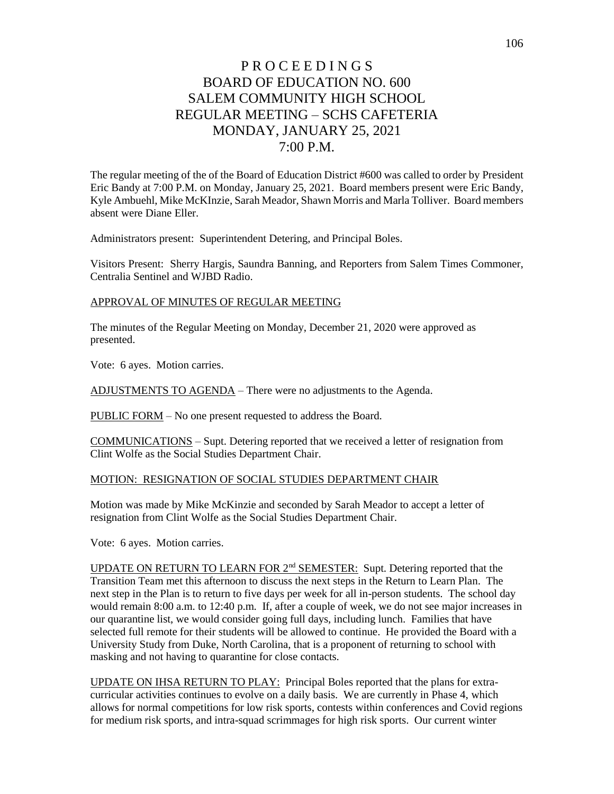# P R O C E E D I N G S BOARD OF EDUCATION NO. 600 SALEM COMMUNITY HIGH SCHOOL REGULAR MEETING – SCHS CAFETERIA MONDAY, JANUARY 25, 2021 7:00 P.M.

The regular meeting of the of the Board of Education District #600 was called to order by President Eric Bandy at 7:00 P.M. on Monday, January 25, 2021. Board members present were Eric Bandy, Kyle Ambuehl, Mike McKInzie, Sarah Meador, Shawn Morris and Marla Tolliver. Board members absent were Diane Eller.

Administrators present: Superintendent Detering, and Principal Boles.

Visitors Present: Sherry Hargis, Saundra Banning, and Reporters from Salem Times Commoner, Centralia Sentinel and WJBD Radio.

#### APPROVAL OF MINUTES OF REGULAR MEETING

The minutes of the Regular Meeting on Monday, December 21, 2020 were approved as presented.

Vote: 6 ayes. Motion carries.

ADJUSTMENTS TO AGENDA – There were no adjustments to the Agenda.

PUBLIC FORM – No one present requested to address the Board.

COMMUNICATIONS – Supt. Detering reported that we received a letter of resignation from Clint Wolfe as the Social Studies Department Chair.

## MOTION: RESIGNATION OF SOCIAL STUDIES DEPARTMENT CHAIR

Motion was made by Mike McKinzie and seconded by Sarah Meador to accept a letter of resignation from Clint Wolfe as the Social Studies Department Chair.

Vote: 6 ayes. Motion carries.

UPDATE ON RETURN TO LEARN FOR 2nd SEMESTER: Supt. Detering reported that the Transition Team met this afternoon to discuss the next steps in the Return to Learn Plan. The next step in the Plan is to return to five days per week for all in-person students. The school day would remain 8:00 a.m. to 12:40 p.m. If, after a couple of week, we do not see major increases in our quarantine list, we would consider going full days, including lunch. Families that have selected full remote for their students will be allowed to continue. He provided the Board with a University Study from Duke, North Carolina, that is a proponent of returning to school with masking and not having to quarantine for close contacts.

UPDATE ON IHSA RETURN TO PLAY: Principal Boles reported that the plans for extracurricular activities continues to evolve on a daily basis. We are currently in Phase 4, which allows for normal competitions for low risk sports, contests within conferences and Covid regions for medium risk sports, and intra-squad scrimmages for high risk sports. Our current winter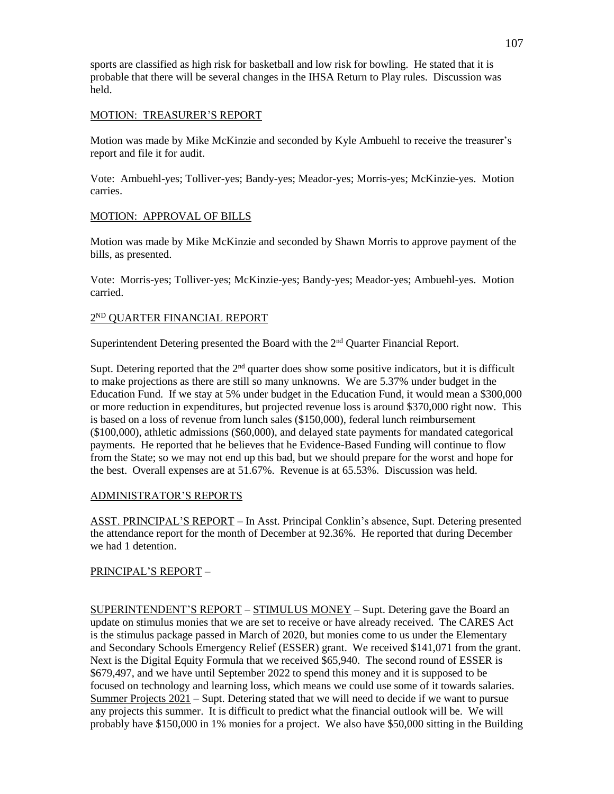sports are classified as high risk for basketball and low risk for bowling. He stated that it is probable that there will be several changes in the IHSA Return to Play rules. Discussion was held.

## MOTION: TREASURER'S REPORT

Motion was made by Mike McKinzie and seconded by Kyle Ambuehl to receive the treasurer's report and file it for audit.

Vote: Ambuehl-yes; Tolliver-yes; Bandy-yes; Meador-yes; Morris-yes; McKinzie-yes. Motion carries.

## MOTION: APPROVAL OF BILLS

Motion was made by Mike McKinzie and seconded by Shawn Morris to approve payment of the bills, as presented.

Vote: Morris-yes; Tolliver-yes; McKinzie-yes; Bandy-yes; Meador-yes; Ambuehl-yes. Motion carried.

## 2 ND QUARTER FINANCIAL REPORT

Superintendent Detering presented the Board with the 2<sup>nd</sup> Quarter Financial Report.

Supt. Detering reported that the  $2<sup>nd</sup>$  quarter does show some positive indicators, but it is difficult to make projections as there are still so many unknowns. We are 5.37% under budget in the Education Fund. If we stay at 5% under budget in the Education Fund, it would mean a \$300,000 or more reduction in expenditures, but projected revenue loss is around \$370,000 right now. This is based on a loss of revenue from lunch sales (\$150,000), federal lunch reimbursement (\$100,000), athletic admissions (\$60,000), and delayed state payments for mandated categorical payments. He reported that he believes that he Evidence-Based Funding will continue to flow from the State; so we may not end up this bad, but we should prepare for the worst and hope for the best. Overall expenses are at 51.67%. Revenue is at 65.53%. Discussion was held.

# ADMINISTRATOR'S REPORTS

ASST. PRINCIPAL'S REPORT – In Asst. Principal Conklin's absence, Supt. Detering presented the attendance report for the month of December at 92.36%. He reported that during December we had 1 detention.

# PRINCIPAL'S REPORT –

SUPERINTENDENT'S REPORT – STIMULUS MONEY – Supt. Detering gave the Board an update on stimulus monies that we are set to receive or have already received. The CARES Act is the stimulus package passed in March of 2020, but monies come to us under the Elementary and Secondary Schools Emergency Relief (ESSER) grant. We received \$141,071 from the grant. Next is the Digital Equity Formula that we received \$65,940. The second round of ESSER is \$679,497, and we have until September 2022 to spend this money and it is supposed to be focused on technology and learning loss, which means we could use some of it towards salaries. Summer Projects 2021 – Supt. Detering stated that we will need to decide if we want to pursue any projects this summer. It is difficult to predict what the financial outlook will be. We will probably have \$150,000 in 1% monies for a project. We also have \$50,000 sitting in the Building